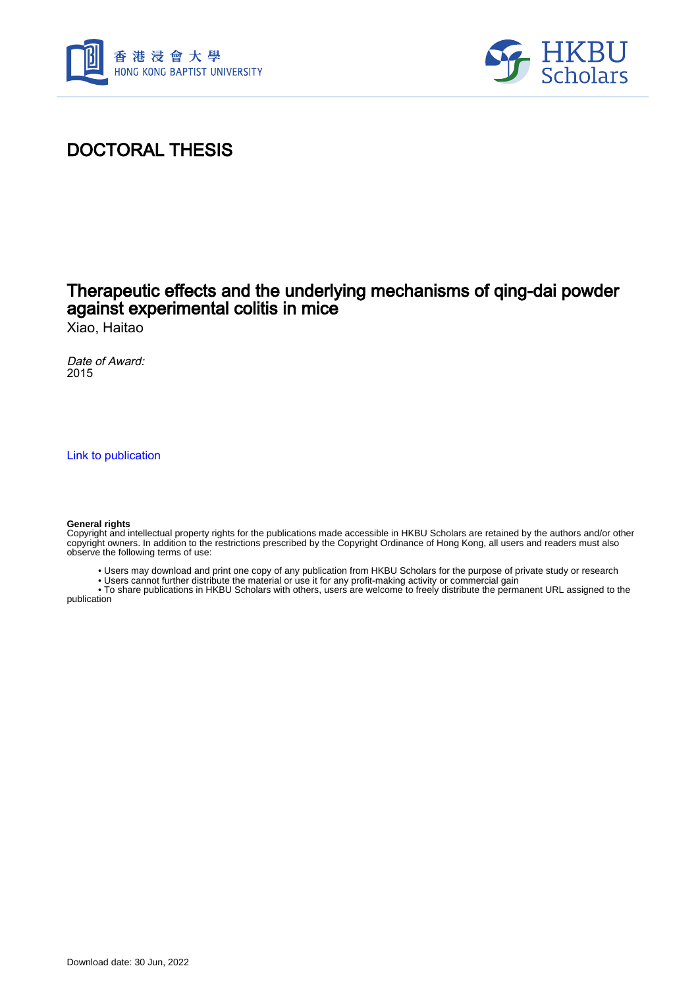



## DOCTORAL THESIS

### Therapeutic effects and the underlying mechanisms of qing-dai powder against experimental colitis in mice

Xiao, Haitao

Date of Award: 2015

[Link to publication](https://scholars.hkbu.edu.hk/en/studentTheses/fb2f730e-9ea9-4eb3-8cea-17f132f56928)

#### **General rights**

Copyright and intellectual property rights for the publications made accessible in HKBU Scholars are retained by the authors and/or other copyright owners. In addition to the restrictions prescribed by the Copyright Ordinance of Hong Kong, all users and readers must also observe the following terms of use:

- Users may download and print one copy of any publication from HKBU Scholars for the purpose of private study or research
- Users cannot further distribute the material or use it for any profit-making activity or commercial gain

 • To share publications in HKBU Scholars with others, users are welcome to freely distribute the permanent URL assigned to the publication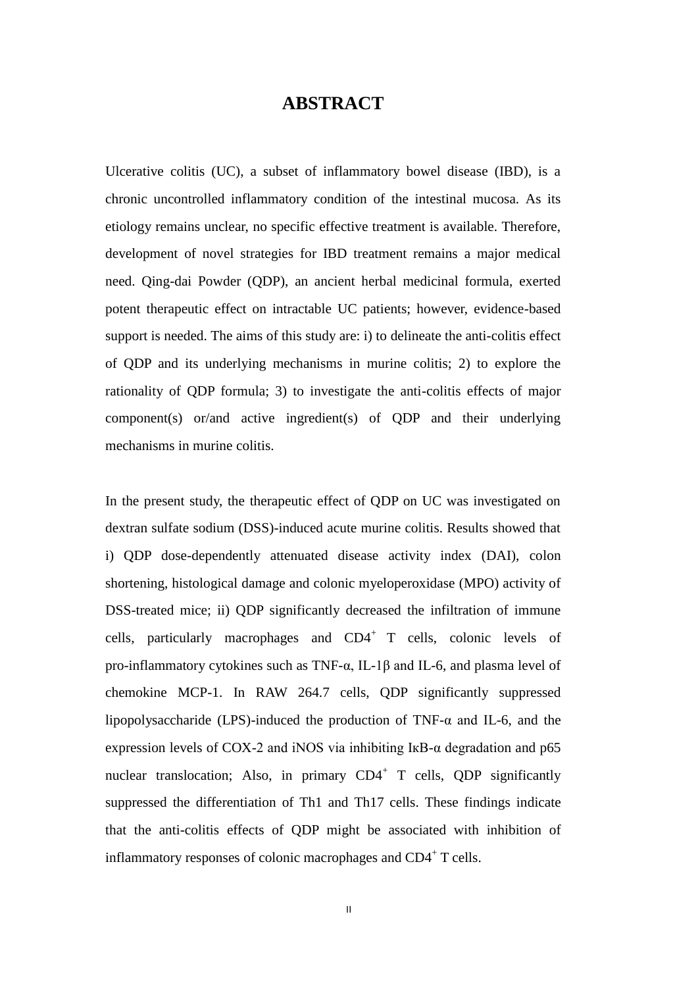#### **ABSTRACT**

Ulcerative colitis (UC), a subset of inflammatory bowel disease (IBD), is a chronic uncontrolled inflammatory condition of the intestinal mucosa. As its etiology remains unclear, no specific effective treatment is available. Therefore, development of novel strategies for IBD treatment remains a major medical need. Qing-dai Powder (QDP), an ancient herbal medicinal formula, exerted potent therapeutic effect on intractable UC patients; however, evidence-based support is needed. The aims of this study are: i) to delineate the anti-colitis effect of QDP and its underlying mechanisms in murine colitis; 2) to explore the rationality of QDP formula; 3) to investigate the anti-colitis effects of major component(s) or/and active ingredient(s) of QDP and their underlying mechanisms in murine colitis.

In the present study, the therapeutic effect of QDP on UC was investigated on dextran sulfate sodium (DSS)-induced acute murine colitis. Results showed that i) QDP dose-dependently attenuated disease activity index (DAI), colon shortening, histological damage and colonic myeloperoxidase (MPO) activity of DSS-treated mice; ii) QDP significantly decreased the infiltration of immune cells, particularly macrophages and  $CD4^+$  T cells, colonic levels of pro-inflammatory cytokines such as TNF-α, IL-1β and IL-6, and plasma level of chemokine MCP-1. In RAW 264.7 cells, QDP significantly suppressed lipopolysaccharide (LPS)-induced the production of TNF- $\alpha$  and IL-6, and the expression levels of COX-2 and iNOS via inhibiting IkB- $\alpha$  degradation and p65 nuclear translocation; Also, in primary CD4<sup>+</sup> T cells, QDP significantly suppressed the differentiation of Th1 and Th17 cells. These findings indicate that the anti-colitis effects of QDP might be associated with inhibition of inflammatory responses of colonic macrophages and  $CD4^+$  T cells.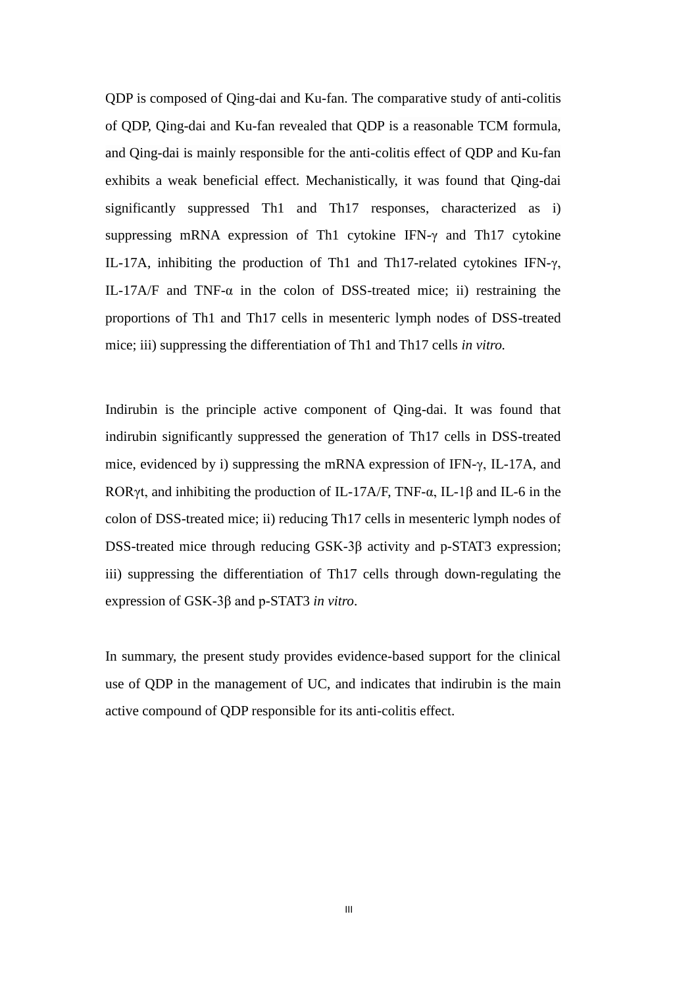QDP is composed of Qing-dai and Ku-fan. The comparative study of anti-colitis of QDP, Qing-dai and Ku-fan revealed that QDP is a reasonable TCM formula, and Qing-dai is mainly responsible for the anti-colitis effect of QDP and Ku-fan exhibits a weak beneficial effect. Mechanistically, it was found that Qing-dai significantly suppressed Th1 and Th17 responses, characterized as i) suppressing mRNA expression of Th1 cytokine IFN-γ and Th17 cytokine IL-17A, inhibiting the production of Th1 and Th17-related cytokines IFN-γ, IL-17A/F and TNF- $\alpha$  in the colon of DSS-treated mice; ii) restraining the proportions of Th1 and Th17 cells in mesenteric lymph nodes of DSS-treated mice; iii) suppressing the differentiation of Th1 and Th17 cells *in vitro.*

Indirubin is the principle active component of Qing-dai. It was found that indirubin significantly suppressed the generation of Th17 cells in DSS-treated mice, evidenced by i) suppressing the mRNA expression of IFN-γ, IL-17A, and RORγt, and inhibiting the production of IL-17A/F, TNF- $\alpha$ , IL-1 $\beta$  and IL-6 in the colon of DSS-treated mice; ii) reducing Th17 cells in mesenteric lymph nodes of DSS-treated mice through reducing GSK-3β activity and p-STAT3 expression; iii) suppressing the differentiation of Th17 cells through down-regulating the expression of GSK-3β and p-STAT3 *in vitro*.

In summary, the present study provides evidence-based support for the clinical use of QDP in the management of UC, and indicates that indirubin is the main active compound of QDP responsible for its anti-colitis effect.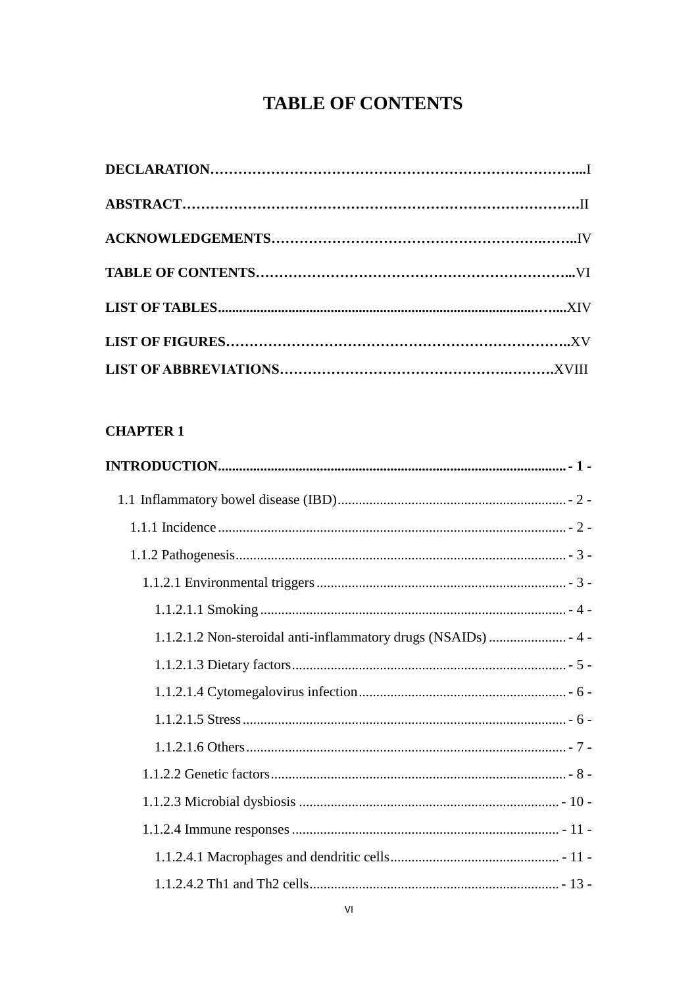# **TABLE OF CONTENTS**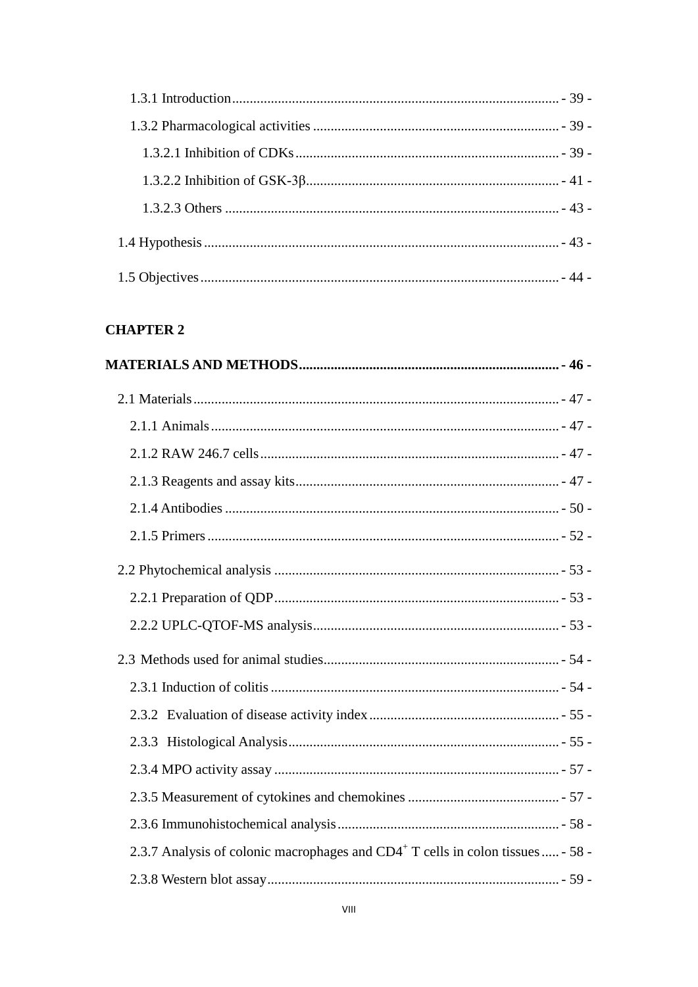| 2.3.7 Analysis of colonic macrophages and CD4 <sup>+</sup> T cells in colon tissues  - 58 - |  |
|---------------------------------------------------------------------------------------------|--|
|                                                                                             |  |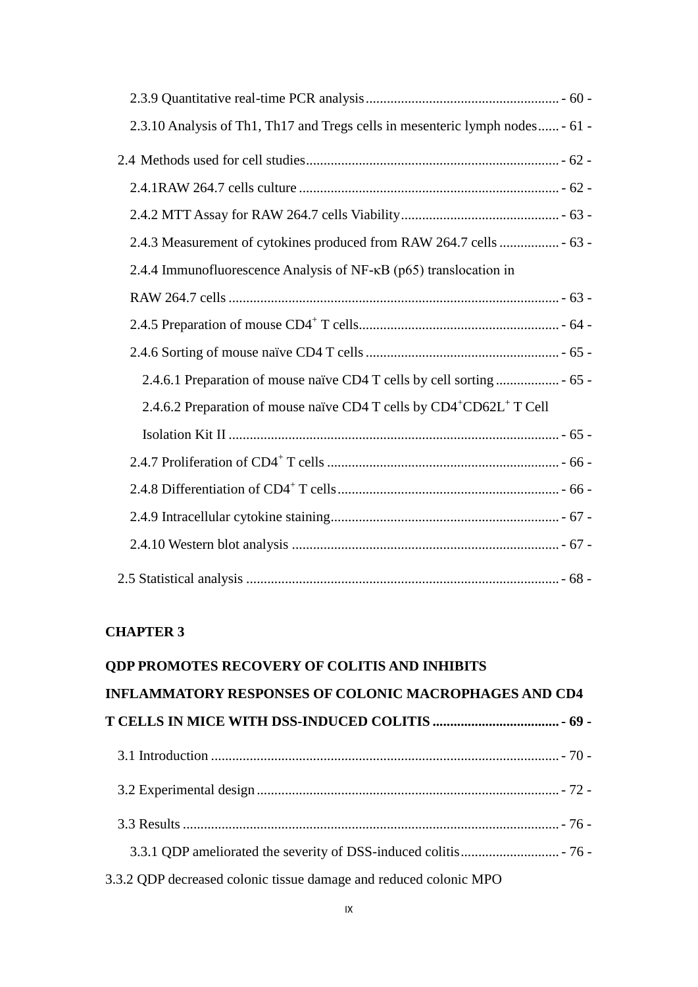| 2.3.10 Analysis of Th1, Th17 and Tregs cells in mesenteric lymph nodes - 61 -                |
|----------------------------------------------------------------------------------------------|
|                                                                                              |
|                                                                                              |
|                                                                                              |
| 2.4.3 Measurement of cytokines produced from RAW 264.7 cells  - 63 -                         |
| 2.4.4 Immunofluorescence Analysis of NF-κB (p65) translocation in                            |
|                                                                                              |
|                                                                                              |
|                                                                                              |
|                                                                                              |
| 2.4.6.2 Preparation of mouse na ve CD4 T cells by CD4 <sup>+</sup> CD62L <sup>+</sup> T Cell |
|                                                                                              |
|                                                                                              |
|                                                                                              |
|                                                                                              |
|                                                                                              |
|                                                                                              |

| ODP PROMOTES RECOVERY OF COLITIS AND INHIBITS                     |  |
|-------------------------------------------------------------------|--|
| <b>INFLAMMATORY RESPONSES OF COLONIC MACROPHAGES AND CD4</b>      |  |
|                                                                   |  |
|                                                                   |  |
|                                                                   |  |
|                                                                   |  |
|                                                                   |  |
| 3.3.2 QDP decreased colonic tissue damage and reduced colonic MPO |  |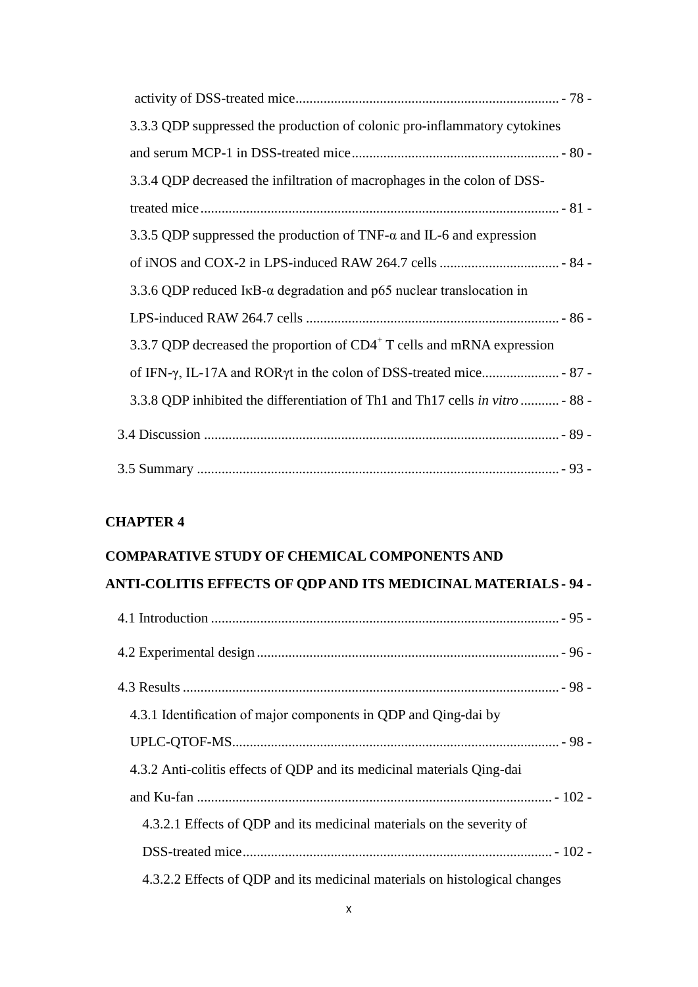| 3.3.3 QDP suppressed the production of colonic pro-inflammatory cytokines             |  |
|---------------------------------------------------------------------------------------|--|
|                                                                                       |  |
| 3.3.4 QDP decreased the infiltration of macrophages in the colon of DSS-              |  |
|                                                                                       |  |
| 3.3.5 QDP suppressed the production of TNF- $\alpha$ and IL-6 and expression          |  |
|                                                                                       |  |
| 3.3.6 QDP reduced I $\kappa$ B- $\alpha$ degradation and p65 nuclear translocation in |  |
|                                                                                       |  |
| 3.3.7 QDP decreased the proportion of CD4 <sup>+</sup> T cells and mRNA expression    |  |
|                                                                                       |  |
| 3.3.8 QDP inhibited the differentiation of Th1 and Th17 cells in vitro  - 88 -        |  |
|                                                                                       |  |
|                                                                                       |  |

# **COMPARATIVE STUDY OF CHEMICAL COMPONENTS AND ANTI-COLITIS EFFECTS OF QDP AND ITS MEDICINAL MATERIALS - 94 -**

| 4.3.1 Identification of major components in QDP and Qing-dai by            |
|----------------------------------------------------------------------------|
|                                                                            |
| 4.3.2 Anti-colitis effects of QDP and its medicinal materials Qing-dai     |
|                                                                            |
| 4.3.2.1 Effects of QDP and its medicinal materials on the severity of      |
|                                                                            |
| 4.3.2.2 Effects of QDP and its medicinal materials on histological changes |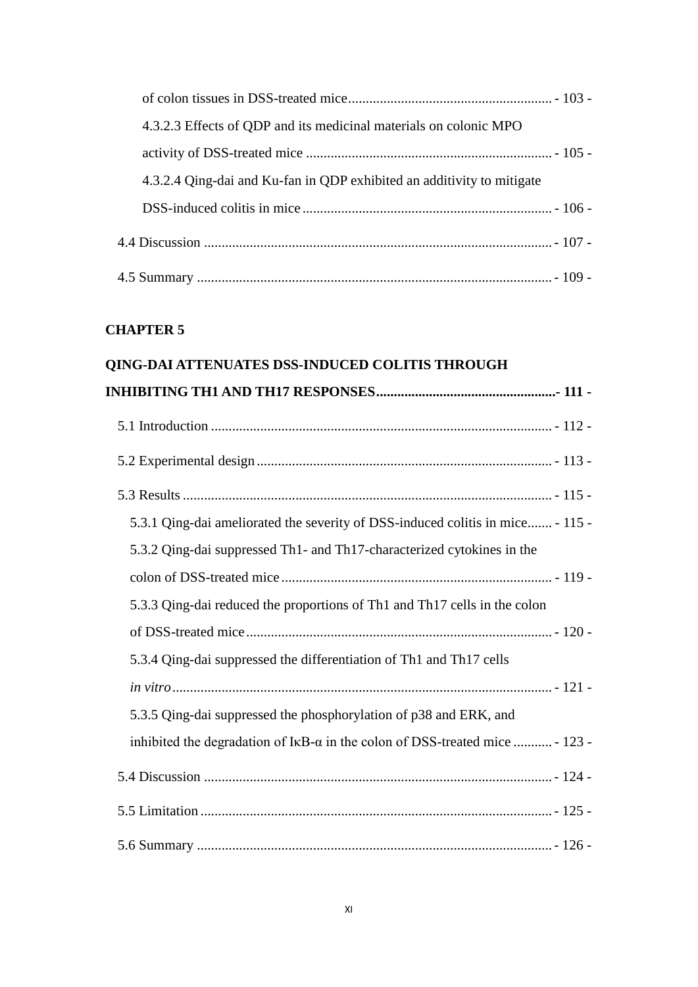| 4.3.2.3 Effects of QDP and its medicinal materials on colonic MPO      |  |
|------------------------------------------------------------------------|--|
|                                                                        |  |
| 4.3.2.4 Qing-dai and Ku-fan in QDP exhibited an additivity to mitigate |  |
|                                                                        |  |
|                                                                        |  |
|                                                                        |  |

#### **QING-DAI ATTENUATES DSS-INDUCED COLITIS THROUGH**

| 5.3.1 Qing-dai ameliorated the severity of DSS-induced colitis in mice - 115 -                 |
|------------------------------------------------------------------------------------------------|
| 5.3.2 Qing-dai suppressed Th1- and Th17-characterized cytokines in the                         |
|                                                                                                |
| 5.3.3 Qing-dai reduced the proportions of Th1 and Th17 cells in the colon                      |
|                                                                                                |
| 5.3.4 Qing-dai suppressed the differentiation of Th1 and Th17 cells                            |
|                                                                                                |
| 5.3.5 Qing-dai suppressed the phosphorylation of p38 and ERK, and                              |
| inhibited the degradation of $I \kappa B$ - $\alpha$ in the colon of DSS-treated mice  - 123 - |
|                                                                                                |
|                                                                                                |
|                                                                                                |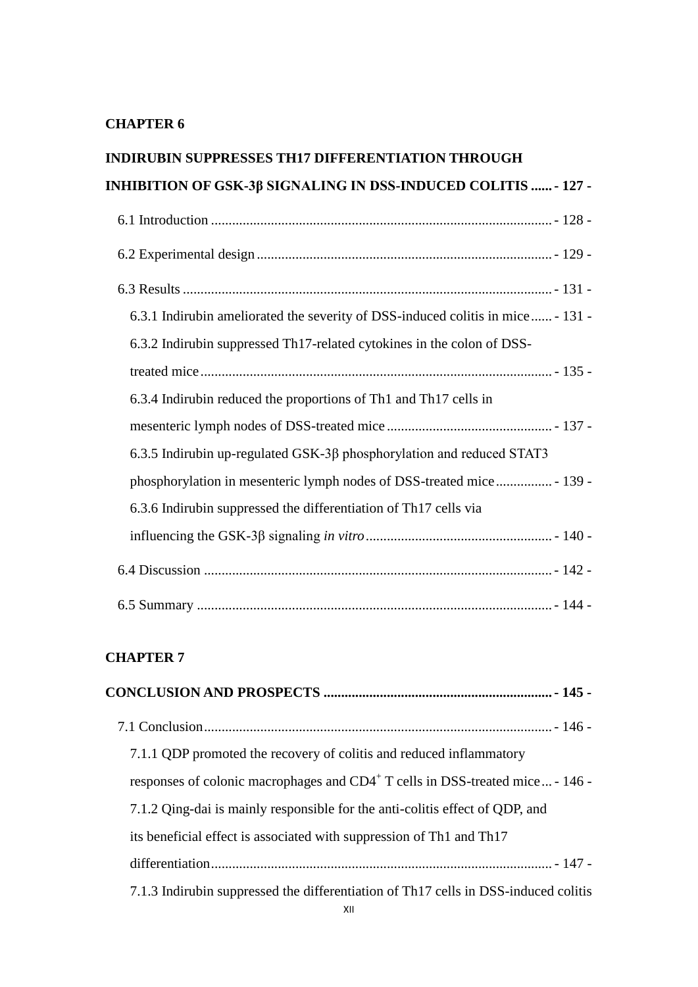# **INDIRUBIN SUPPRESSES TH17 DIFFERENTIATION THROUGH INHIBITION OF GSK-3β SIGNALING IN DSS-INDUCED COLITIS ......- 127 -**

| 6.3.1 Indirubin ameliorated the severity of DSS-induced colitis in mice - 131 - |
|---------------------------------------------------------------------------------|
| 6.3.2 Indirubin suppressed Th17-related cytokines in the colon of DSS-          |
|                                                                                 |
| 6.3.4 Indirubin reduced the proportions of Th1 and Th17 cells in                |
|                                                                                 |
| $6.3.5$ Indirubin up-regulated GSK-3 $\beta$ phosphorylation and reduced STAT3  |
| phosphorylation in mesenteric lymph nodes of DSS-treated mice  - 139 -          |
| 6.3.6 Indirubin suppressed the differentiation of Th17 cells via                |
|                                                                                 |
|                                                                                 |
|                                                                                 |

| 7.1.1 QDP promoted the recovery of colitis and reduced inflammatory                       |
|-------------------------------------------------------------------------------------------|
| responses of colonic macrophages and CD4 <sup>+</sup> T cells in DSS-treated mice - 146 - |
| 7.1.2 Qing-dai is mainly responsible for the anti-colitis effect of QDP, and              |
| its beneficial effect is associated with suppression of Th1 and Th17                      |
|                                                                                           |
| 7.1.3 Indirubin suppressed the differentiation of Th17 cells in DSS-induced colitis       |